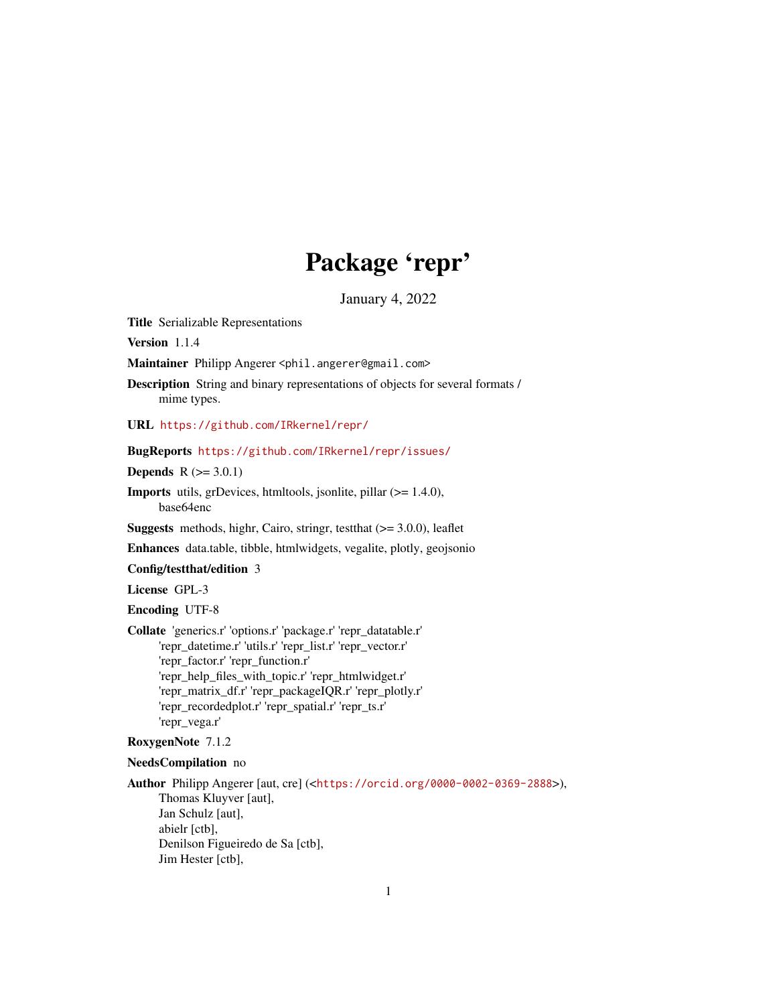# Package 'repr'

January 4, 2022

<span id="page-0-0"></span>Title Serializable Representations

Version 1.1.4

Maintainer Philipp Angerer <phil.angerer@gmail.com>

Description String and binary representations of objects for several formats / mime types.

URL <https://github.com/IRkernel/repr/>

#### BugReports <https://github.com/IRkernel/repr/issues/>

**Depends**  $R (= 3.0.1)$ 

Imports utils, grDevices, htmltools, jsonlite, pillar (>= 1.4.0), base64enc

**Suggests** methods, highr, Cairo, stringr, test that  $(>= 3.0.0)$ , leaflet

Enhances data.table, tibble, htmlwidgets, vegalite, plotly, geojsonio

Config/testthat/edition 3

License GPL-3

Encoding UTF-8

Collate 'generics.r' 'options.r' 'package.r' 'repr\_datatable.r' 'repr\_datetime.r' 'utils.r' 'repr\_list.r' 'repr\_vector.r' 'repr\_factor.r' 'repr\_function.r' 'repr\_help\_files\_with\_topic.r' 'repr\_htmlwidget.r' 'repr\_matrix\_df.r' 'repr\_packageIQR.r' 'repr\_plotly.r' 'repr\_recordedplot.r' 'repr\_spatial.r' 'repr\_ts.r' 'repr\_vega.r'

# RoxygenNote 7.1.2

#### NeedsCompilation no

Author Philipp Angerer [aut, cre] (<<https://orcid.org/0000-0002-0369-2888>>), Thomas Kluyver [aut], Jan Schulz [aut], abielr [ctb], Denilson Figueiredo de Sa [ctb], Jim Hester [ctb],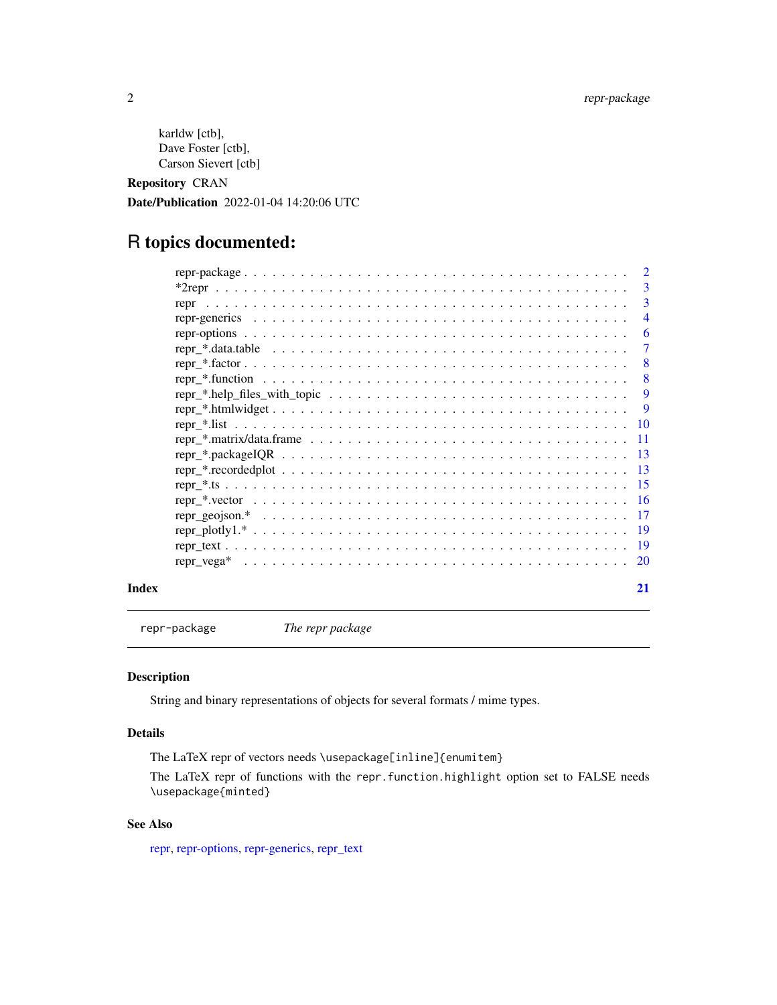```
karldw [ctb],
Dave Foster [ctb],
Carson Sievert [ctb]
```
Repository CRAN

Date/Publication 2022-01-04 14:20:06 UTC

# R topics documented:

|       | $\overline{2}$ |
|-------|----------------|
|       | 3              |
|       | 3              |
|       | $\overline{4}$ |
|       | 6              |
|       | $\overline{7}$ |
|       | -8             |
|       | - 8            |
|       | -9             |
|       |                |
|       |                |
|       |                |
|       |                |
|       |                |
|       |                |
|       |                |
|       |                |
|       |                |
|       |                |
|       |                |
| Index | 21             |

repr-package *The repr package*

# Description

String and binary representations of objects for several formats / mime types.

# Details

The LaTeX repr of vectors needs \usepackage[inline]{enumitem}

The LaTeX repr of functions with the repr.function.highlight option set to FALSE needs \usepackage{minted}

# See Also

[repr,](#page-2-1) [repr-options,](#page-5-1) [repr-generics,](#page-3-1) [repr\\_text](#page-18-1)

<span id="page-1-0"></span>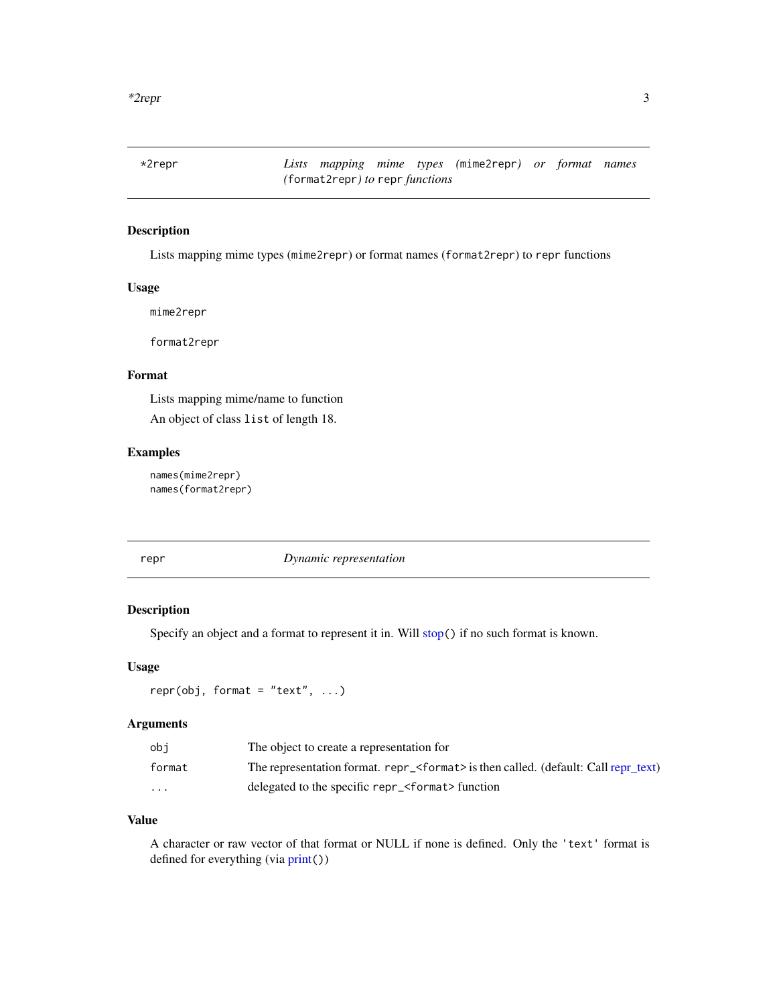<span id="page-2-0"></span>\*2repr *Lists mapping mime types (*mime2repr*) or format names (*format2repr*) to* repr *functions*

# Description

Lists mapping mime types (mime2repr) or format names (format2repr) to repr functions

#### Usage

mime2repr

format2repr

# Format

Lists mapping mime/name to function An object of class list of length 18.

# Examples

names(mime2repr) names(format2repr)

<span id="page-2-1"></span>

#### repr *Dynamic representation*

# Description

Specify an object and a format to represent it in. Will [stop](#page-0-0)() if no such format is known.

#### Usage

 $repr(obj, format = "text", ...)$ 

# Arguments

| obi      | The object to create a representation for                                                    |
|----------|----------------------------------------------------------------------------------------------|
| format   | The representation format. repr_ <format> is then called. (default: Call repr_text)</format> |
| $\cdots$ | delegated to the specific repr_ <format> function</format>                                   |

#### Value

A character or raw vector of that format or NULL if none is defined. Only the 'text' format is defined for everything (via [print](#page-0-0)())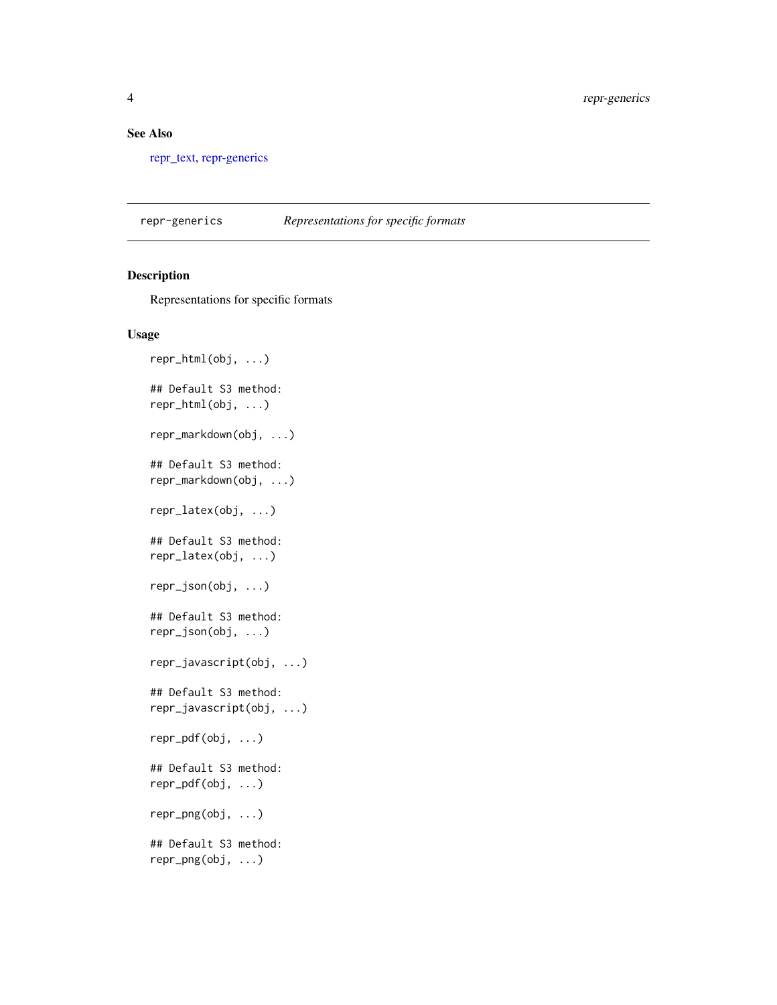### <span id="page-3-0"></span>See Also

[repr\\_text,](#page-18-1) [repr-generics](#page-3-1)

<span id="page-3-1"></span>repr-generics *Representations for specific formats*

# Description

Representations for specific formats

```
repr_html(obj, ...)
## Default S3 method:
repr_html(obj, ...)
repr_markdown(obj, ...)
## Default S3 method:
repr_markdown(obj, ...)
repr_latex(obj, ...)
## Default S3 method:
repr_latex(obj, ...)
repr_json(obj, ...)
## Default S3 method:
repr_json(obj, ...)
repr_javascript(obj, ...)
## Default S3 method:
repr_javascript(obj, ...)
repr_pdf(obj, ...)
## Default S3 method:
repr_pdf(obj, ...)
repr_png(obj, ...)
## Default S3 method:
repr_png(obj, ...)
```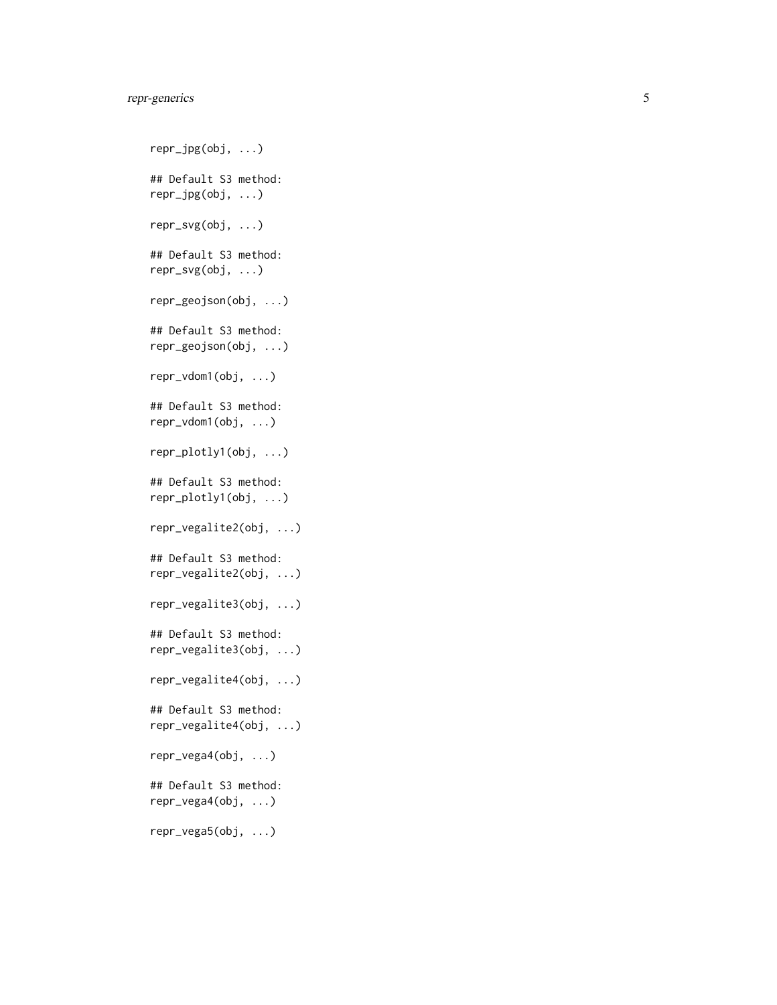# repr-generics

repr\_jpg(obj, ...) ## Default S3 method: repr\_jpg(obj, ...) repr\_svg(obj, ...) ## Default S3 method: repr\_svg(obj, ...) repr\_geojson(obj, ...) ## Default S3 method: repr\_geojson(obj, ...) repr\_vdom1(obj, ...) ## Default S3 method: repr\_vdom1(obj, ...) repr\_plotly1(obj, ...) ## Default S3 method: repr\_plotly1(obj, ...) repr\_vegalite2(obj, ...) ## Default S3 method: repr\_vegalite2(obj, ...) repr\_vegalite3(obj, ...) ## Default S3 method: repr\_vegalite3(obj, ...) repr\_vegalite4(obj, ...) ## Default S3 method: repr\_vegalite4(obj, ...) repr\_vega4(obj, ...) ## Default S3 method: repr\_vega4(obj, ...) repr\_vega5(obj, ...)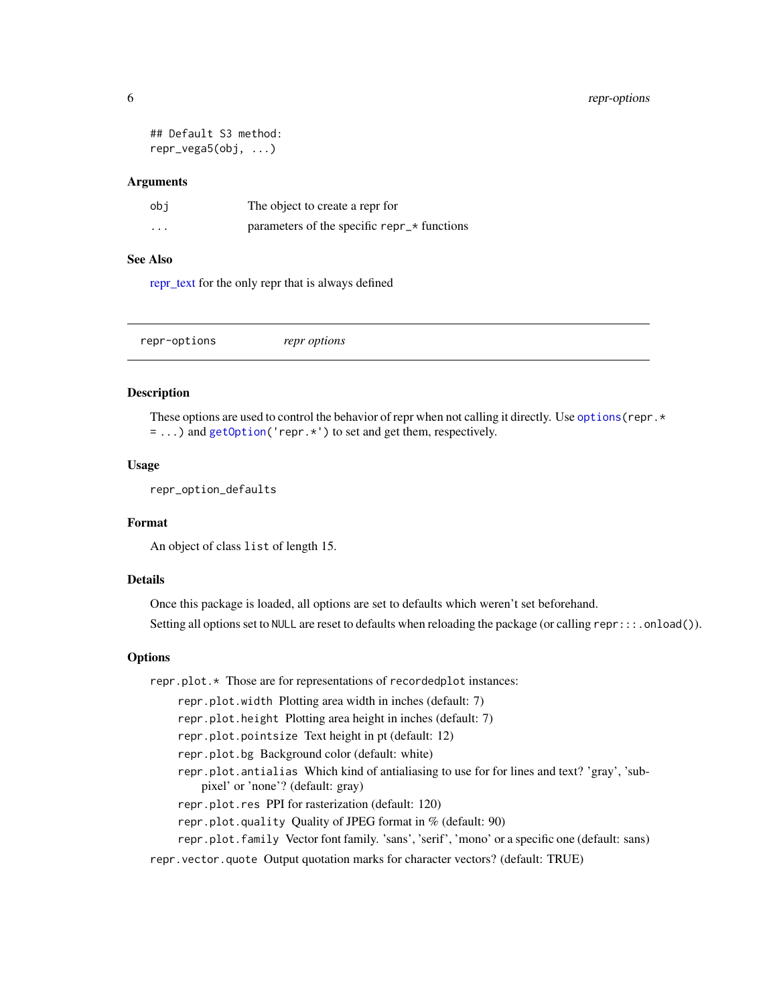```
## Default S3 method:
repr_vega5(obj, ...)
```

| obi      | The object to create a repr for             |
|----------|---------------------------------------------|
| $\cdots$ | parameters of the specific repr_* functions |

# See Also

[repr\\_text](#page-18-1) for the only repr that is always defined

<span id="page-5-1"></span>repr-options *repr options*

#### Description

These options are used to control the behavior of repr when not calling it directly. Use options (repr.  $\star$ = ...) and [getOption\(](#page-0-0)'repr.\*') to set and get them, respectively.

#### Usage

repr\_option\_defaults

# Format

An object of class list of length 15.

#### Details

Once this package is loaded, all options are set to defaults which weren't set beforehand. Setting all options set to NULL are reset to defaults when reloading the package (or calling repr:::.onload()).

#### **Options**

repr.plot.\* Those are for representations of recordedplot instances: repr.plot.width Plotting area width in inches (default: 7) repr.plot.height Plotting area height in inches (default: 7) repr.plot.pointsize Text height in pt (default: 12) repr.plot.bg Background color (default: white) repr.plot.antialias Which kind of antialiasing to use for for lines and text? 'gray', 'subpixel' or 'none'? (default: gray) repr.plot.res PPI for rasterization (default: 120) repr.plot.quality Quality of JPEG format in % (default: 90) repr.plot.family Vector font family. 'sans', 'serif', 'mono' or a specific one (default: sans) repr.vector.quote Output quotation marks for character vectors? (default: TRUE)

<span id="page-5-0"></span>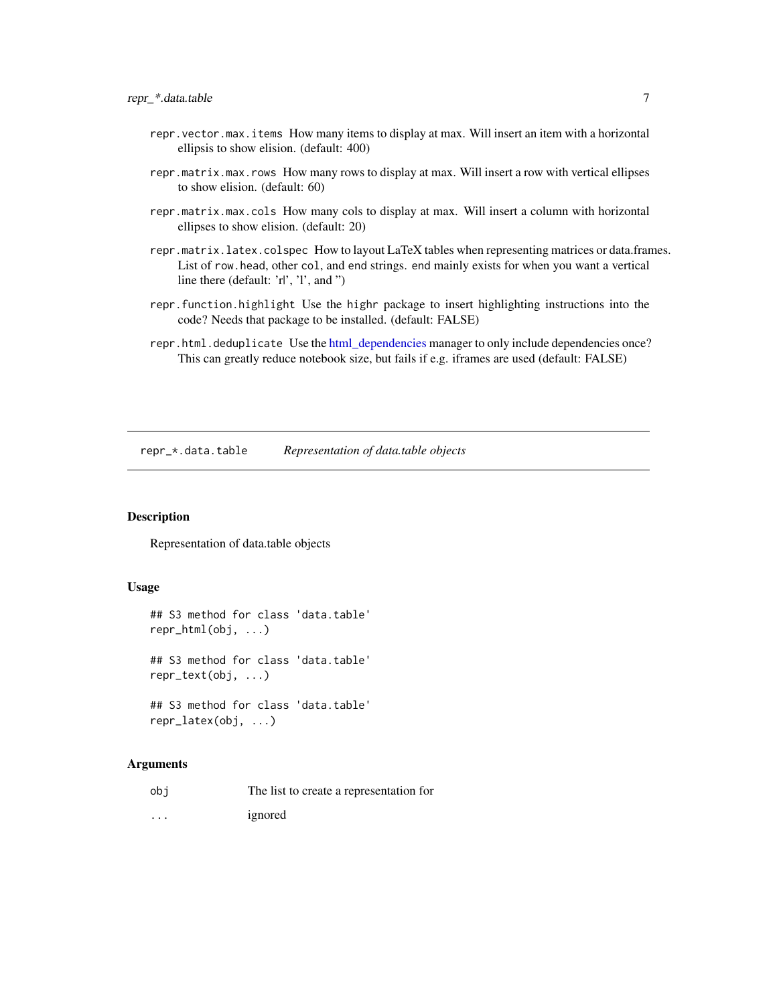- <span id="page-6-0"></span>repr.vector.max.items How many items to display at max. Will insert an item with a horizontal ellipsis to show elision. (default: 400)
- repr.matrix.max.rows How many rows to display at max. Will insert a row with vertical ellipses to show elision. (default: 60)
- repr.matrix.max.cols How many cols to display at max. Will insert a column with horizontal ellipses to show elision. (default: 20)
- repr.matrix.latex.colspec How to layout LaTeX tables when representing matrices or data.frames. List of row.head, other col, and end strings. end mainly exists for when you want a vertical line there (default: 'r|', 'l', and ")
- repr.function.highlight Use the highr package to insert highlighting instructions into the code? Needs that package to be installed. (default: FALSE)
- repr.html.deduplicate Use the [html\\_dependencies](#page-8-1) manager to only include dependencies once? This can greatly reduce notebook size, but fails if e.g. iframes are used (default: FALSE)

repr\_\*.data.table *Representation of data.table objects*

# Description

Representation of data.table objects

#### Usage

```
## S3 method for class 'data.table'
repr_html(obj, ...)
## S3 method for class 'data.table'
repr_text(obj, ...)
## S3 method for class 'data.table'
repr_latex(obj, ...)
```
#### Arguments

obj The list to create a representation for ... ignored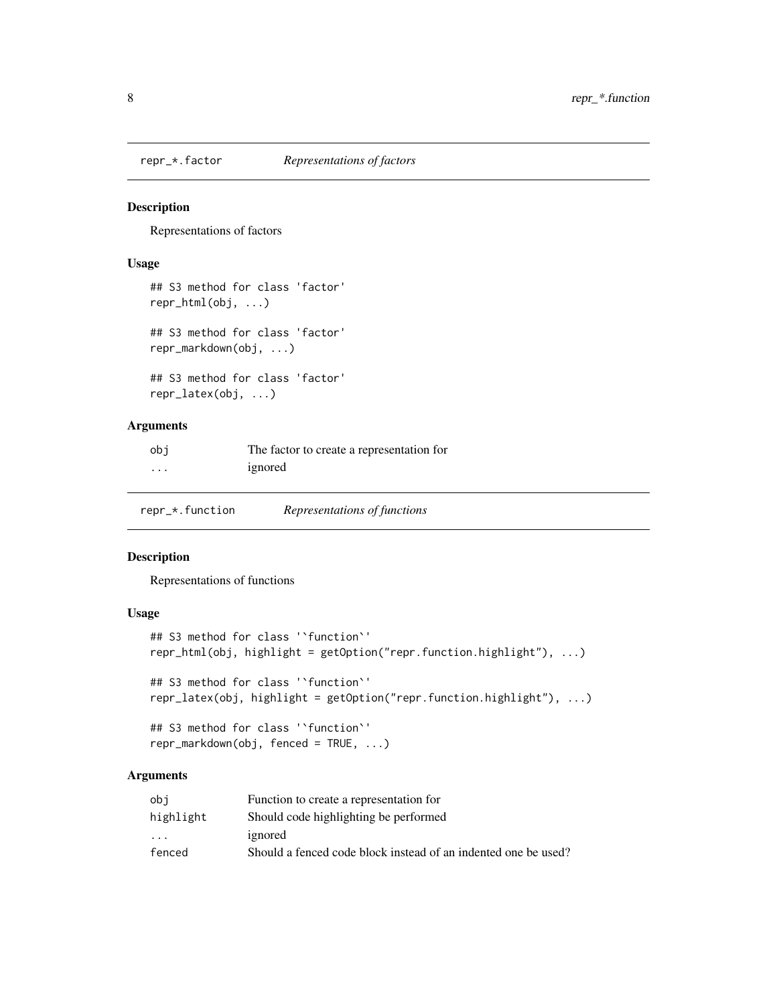<span id="page-7-0"></span>

# Description

Representations of factors

#### Usage

```
## S3 method for class 'factor'
repr_html(obj, ...)
## S3 method for class 'factor'
repr_markdown(obj, ...)
## S3 method for class 'factor'
repr_latex(obj, ...)
```
# Arguments

| obi | The factor to create a representation for |
|-----|-------------------------------------------|
| .   | ignored                                   |

repr\_\*.function *Representations of functions*

#### Description

Representations of functions

# Usage

```
## S3 method for class '`function`'
repr_html(obj, highlight = getOption("repr.function.highlight"), ...)
## S3 method for class '`function`'
repr_latex(obj, highlight = getOption("repr.function.highlight"), ...)
## S3 method for class '`function`'
```

```
repr_markdown(obj, fenced = TRUE, ...)
```
# Arguments

| obi       | Function to create a representation for                        |
|-----------|----------------------------------------------------------------|
| highlight | Should code highlighting be performed                          |
| $\cdot$   | ignored                                                        |
| fenced    | Should a fenced code block instead of an indented one be used? |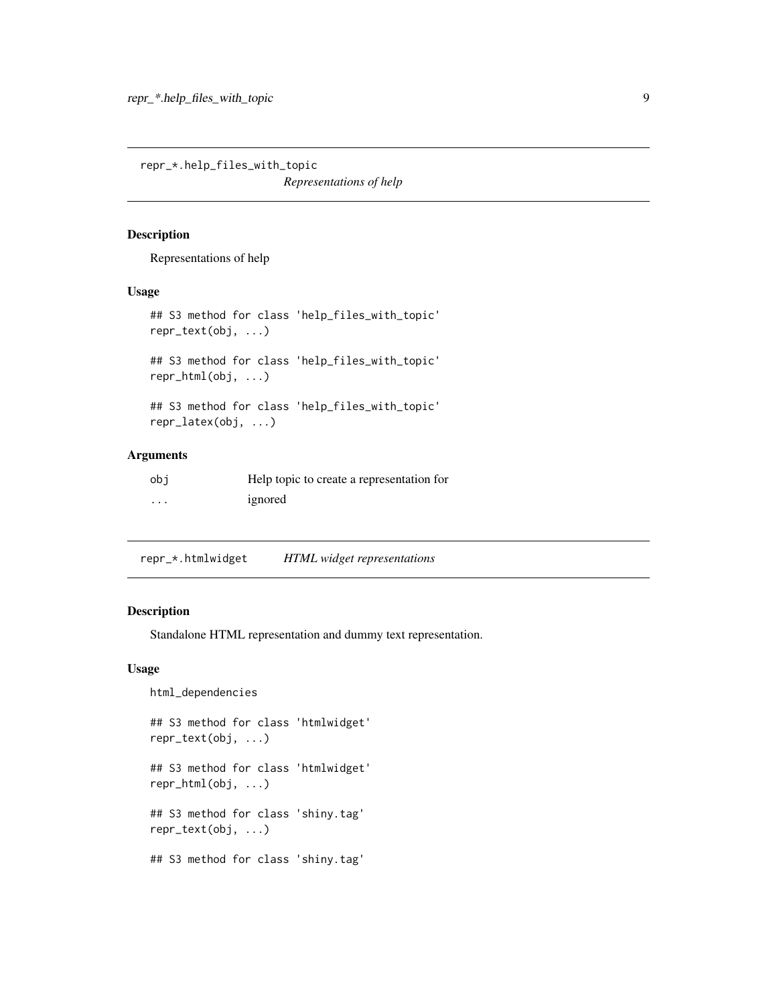<span id="page-8-0"></span>repr\_\*.help\_files\_with\_topic *Representations of help*

#### Description

Representations of help

### Usage

```
## S3 method for class 'help_files_with_topic'
repr_text(obj, ...)
```
## S3 method for class 'help\_files\_with\_topic' repr\_html(obj, ...)

```
## S3 method for class 'help_files_with_topic'
repr_latex(obj, ...)
```
#### Arguments

| obi | Help topic to create a representation for |
|-----|-------------------------------------------|
| .   | ignored                                   |

repr\_\*.htmlwidget *HTML widget representations*

# <span id="page-8-1"></span>Description

Standalone HTML representation and dummy text representation.

```
html_dependencies
## S3 method for class 'htmlwidget'
repr_text(obj, ...)
## S3 method for class 'htmlwidget'
repr_html(obj, ...)
## S3 method for class 'shiny.tag'
repr_text(obj, ...)
## S3 method for class 'shiny.tag'
```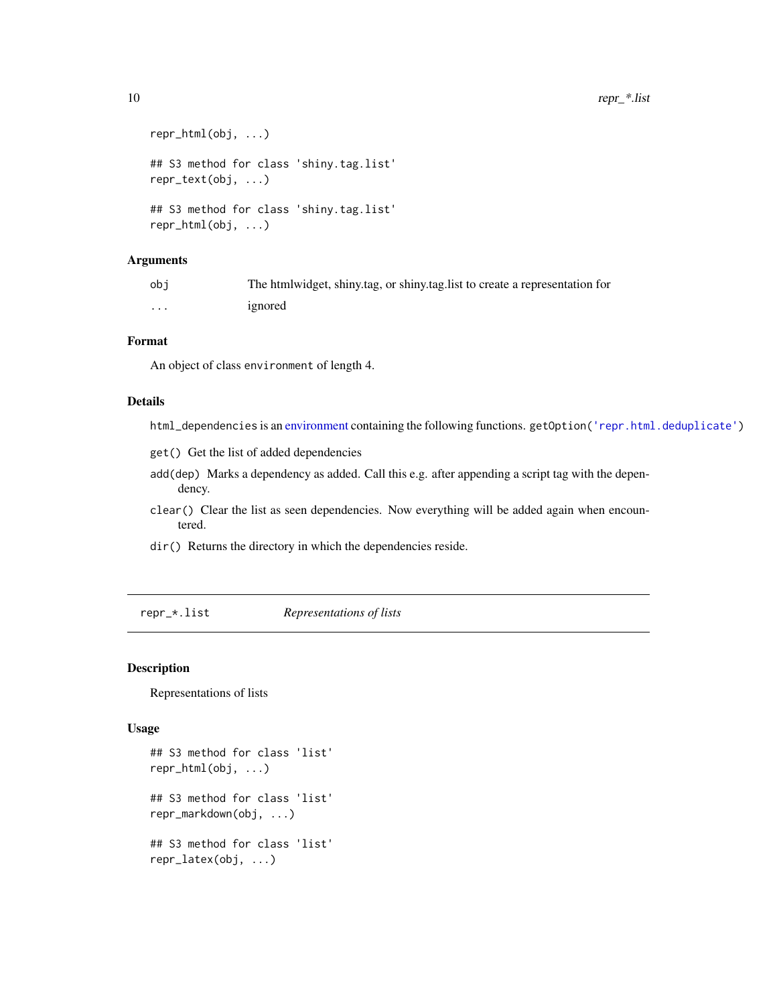```
repr_html(obj, ...)
## S3 method for class 'shiny.tag.list'
repr_text(obj, ...)
## S3 method for class 'shiny.tag.list'
repr_html(obj, ...)
```

| obi | The htmlwidget, shiny.tag, or shiny.tag.list to create a representation for |
|-----|-----------------------------------------------------------------------------|
| .   | ignored                                                                     |

# Format

An object of class environment of length 4.

#### Details

- html\_dependencies is an [environment](#page-0-0) containing the following functions. getOption[\('repr.html.deduplicate'\)](#page-5-1)
- get() Get the list of added dependencies
- add(dep) Marks a dependency as added. Call this e.g. after appending a script tag with the dependency.
- clear() Clear the list as seen dependencies. Now everything will be added again when encountered.
- dir() Returns the directory in which the dependencies reside.

repr\_\*.list *Representations of lists*

# Description

Representations of lists

```
## S3 method for class 'list'
repr_html(obj, ...)
## S3 method for class 'list'
repr_markdown(obj, ...)
## S3 method for class 'list'
repr_latex(obj, ...)
```
<span id="page-9-0"></span>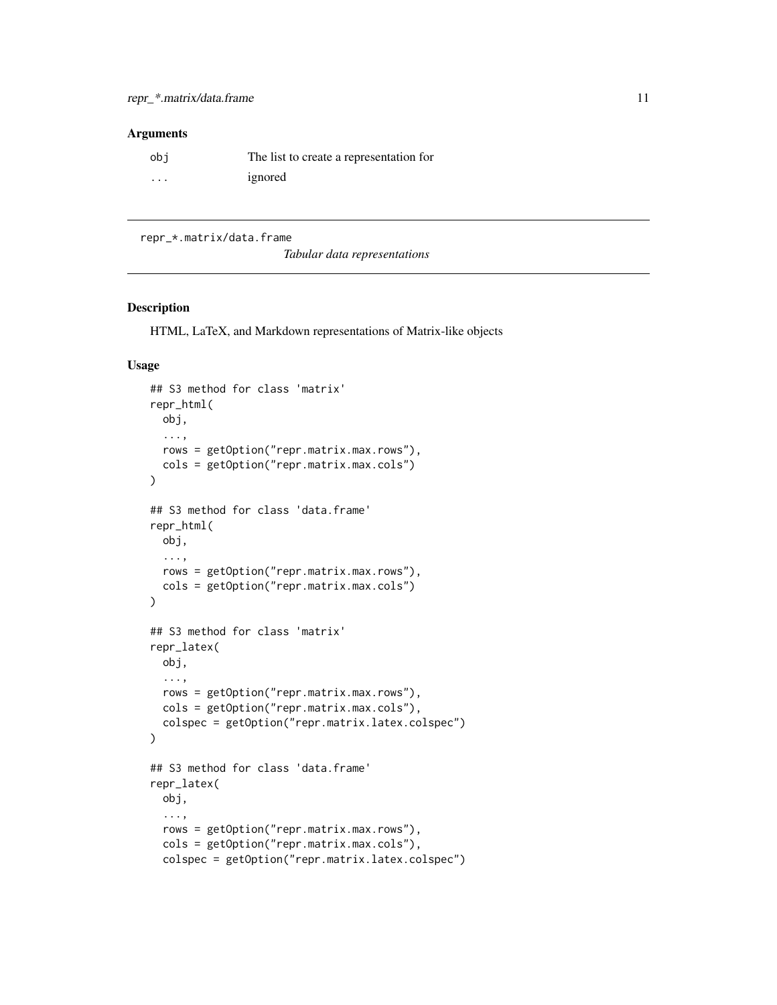<span id="page-10-0"></span>

| obi      | The list to create a representation for |
|----------|-----------------------------------------|
| $\cdots$ | ignored                                 |

repr\_\*.matrix/data.frame

*Tabular data representations*

### Description

HTML, LaTeX, and Markdown representations of Matrix-like objects

```
## S3 method for class 'matrix'
repr_html(
 obj,
  ...,
 rows = getOption("repr.matrix.max.rows"),
 cols = getOption("repr.matrix.max.cols")
)
## S3 method for class 'data.frame'
repr_html(
 obj,
  ...,
 rows = getOption("repr.matrix.max.rows"),
 cols = getOption("repr.matrix.max.cols")
)
## S3 method for class 'matrix'
repr_latex(
 obj,
  ...,
 rows = getOption("repr.matrix.max.rows"),
 cols = getOption("repr.matrix.max.cols"),
  colspec = getOption("repr.matrix.latex.colspec")
)
## S3 method for class 'data.frame'
repr_latex(
 obj,
  ...,
 rows = getOption("repr.matrix.max.rows"),
  cols = getOption("repr.matrix.max.cols"),
  colspec = getOption("repr.matrix.latex.colspec")
```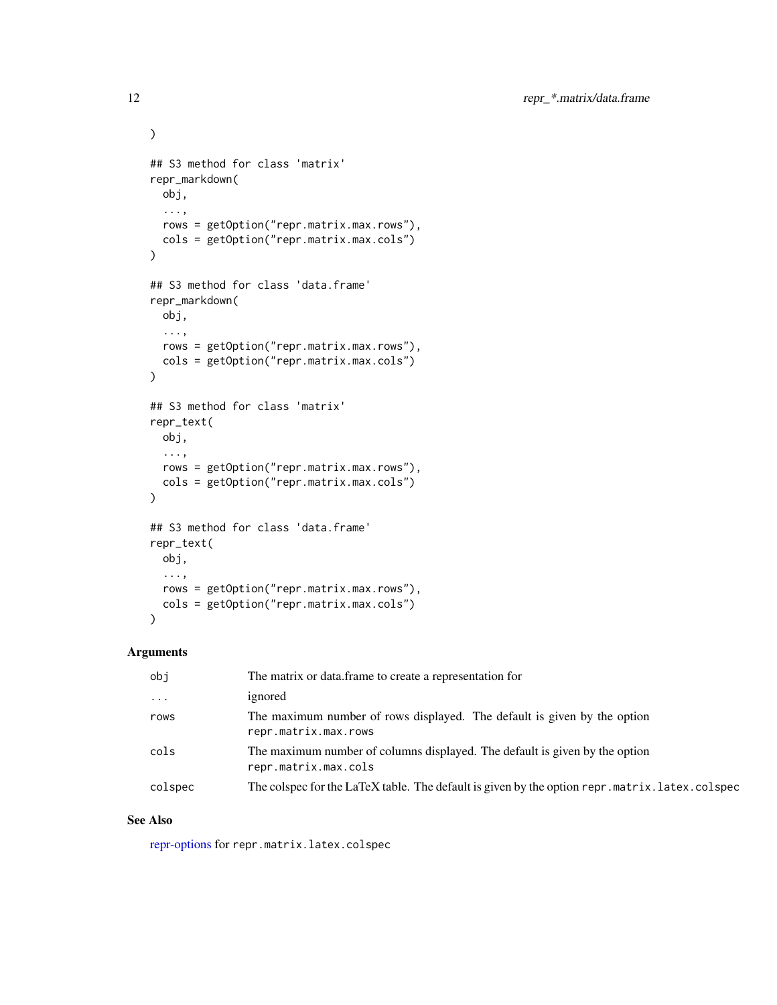```
\mathcal{L}## S3 method for class 'matrix'
repr_markdown(
 obj,
  ...,
 rows = getOption("repr.matrix.max.rows"),
 cols = getOption("repr.matrix.max.cols")
\lambda## S3 method for class 'data.frame'
repr_markdown(
 obj,
 ...,
 rows = getOption("repr.matrix.max.rows"),
 cols = getOption("repr.matrix.max.cols")
\mathcal{L}## S3 method for class 'matrix'
repr_text(
 obj,
  ...,
 rows = getOption("repr.matrix.max.rows"),
  cols = getOption("repr.matrix.max.cols")
\mathcal{L}## S3 method for class 'data.frame'
repr_text(
 obj,
  ...,
 rows = getOption("repr.matrix.max.rows"),
 cols = getOption("repr.matrix.max.cols")
)
```

| obi                     | The matrix or data.frame to create a representation for                                             |  |
|-------------------------|-----------------------------------------------------------------------------------------------------|--|
| $\cdot$ $\cdot$ $\cdot$ | ignored                                                                                             |  |
| rows                    | The maximum number of rows displayed. The default is given by the option<br>repr.matrix.max.rows    |  |
| cols                    | The maximum number of columns displayed. The default is given by the option<br>repr.matrix.max.cols |  |
| colspec                 | The colspec for the LaTeX table. The default is given by the option repr. matrix. latex. colspec    |  |

#### See Also

[repr-options](#page-5-1) for repr.matrix.latex.colspec

<span id="page-11-0"></span>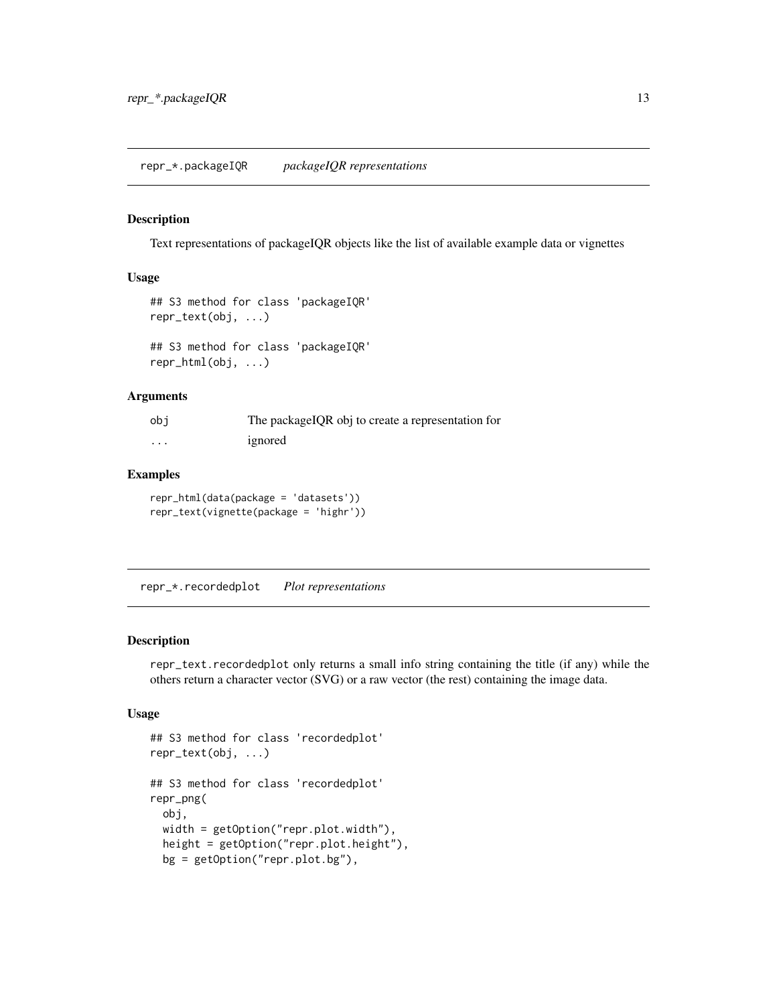#### <span id="page-12-0"></span>Description

Text representations of packageIQR objects like the list of available example data or vignettes

#### Usage

```
## S3 method for class 'packageIQR'
repr_text(obj, ...)
## S3 method for class 'packageIQR'
```
repr\_html(obj, ...)

# Arguments

| obi | The packageIQR obj to create a representation for |
|-----|---------------------------------------------------|
| .   | ignored                                           |

#### Examples

repr\_html(data(package = 'datasets')) repr\_text(vignette(package = 'highr'))

repr\_\*.recordedplot *Plot representations*

#### Description

repr\_text.recordedplot only returns a small info string containing the title (if any) while the others return a character vector (SVG) or a raw vector (the rest) containing the image data.

```
## S3 method for class 'recordedplot'
repr_text(obj, ...)
## S3 method for class 'recordedplot'
repr_png(
 obj,
 width = getOption("repr.plot.width"),
 height = getOption("repr.plot.height"),
 bg = getOption("repr.plot.bg"),
```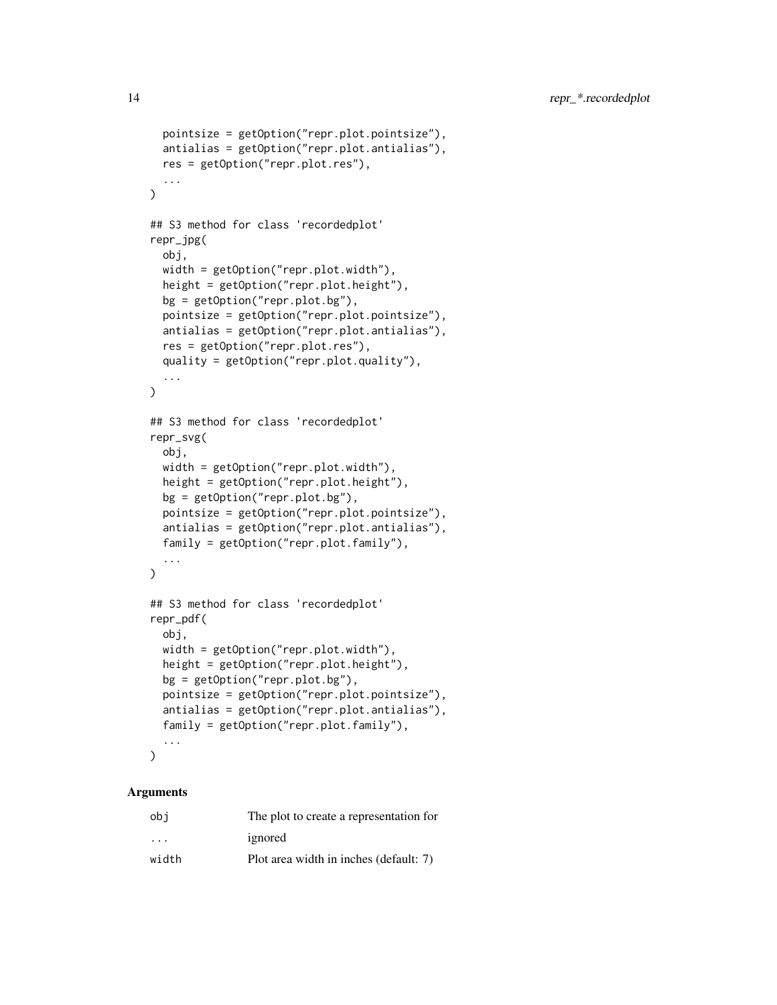```
pointsize = getOption("repr.plot.pointsize"),
  antialias = getOption("repr.plot.antialias"),
 res = getOption("repr.plot.res"),
  ...
\mathcal{L}## S3 method for class 'recordedplot'
repr_jpg(
 obj,
 width = getOption("repr.plot.width"),
  height = getOption("repr.plot.height"),
 bg = getOption("repr.plot.bg"),
 pointsize = getOption("repr.plot.pointsize"),
  antialias = getOption("repr.plot.antialias"),
  res = getOption("repr.plot.res"),
  quality = getOption("repr.plot.quality"),
  ...
\mathcal{L}## S3 method for class 'recordedplot'
repr_svg(
  obj,
 width = getOption("repr.plot.width"),
  height = getOption("repr.plot.height"),
 bg = getOption("repr.plot.bg"),
 pointsize = getOption("repr.plot.pointsize"),
  antialias = getOption("repr.plot.antialias"),
  family = getOption("repr.plot.family"),
  ...
\mathcal{L}## S3 method for class 'recordedplot'
repr_pdf(
  obj,
 width = getOption("repr.plot.width"),
 height = getOption("repr.plot.height"),
 bg = getOption("repr.plot.bg"),
 pointsize = getOption("repr.plot.pointsize"),
  antialias = getOption("repr.plot.antialias"),
  family = getOption("repr.plot.family"),
  ...
\mathcal{L}
```

| obi                     | The plot to create a representation for |
|-------------------------|-----------------------------------------|
| $\cdot$ $\cdot$ $\cdot$ | ignored                                 |
| width                   | Plot area width in inches (default: 7)  |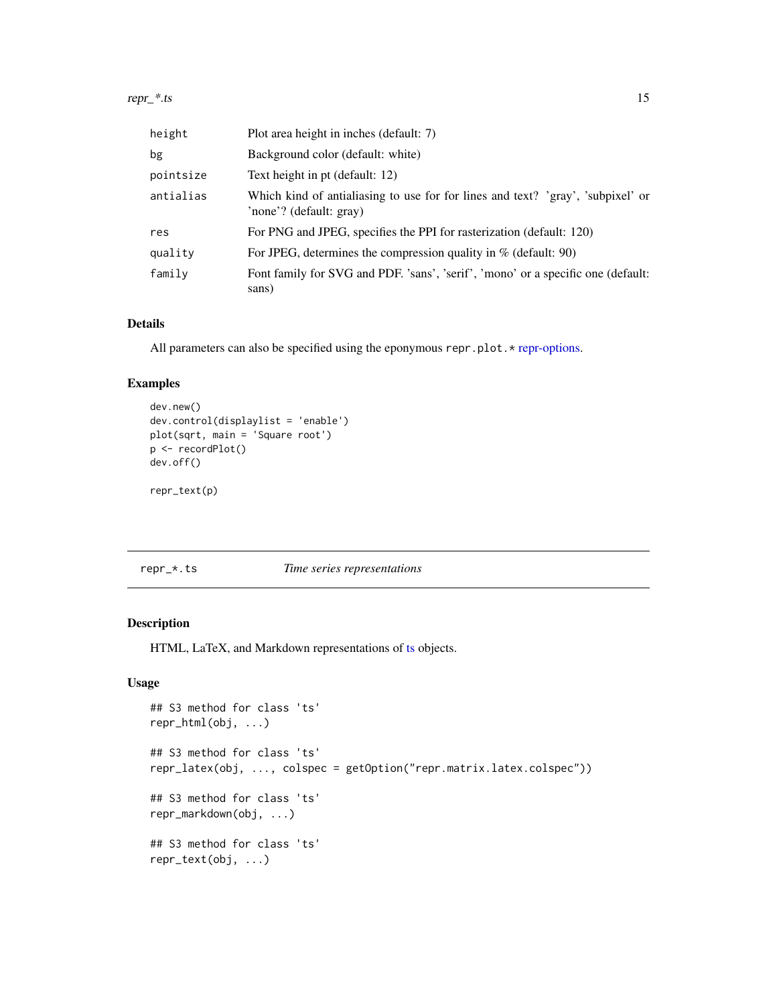<span id="page-14-0"></span>

| height    | Plot area height in inches (default: 7)                                                                    |
|-----------|------------------------------------------------------------------------------------------------------------|
| bg        | Background color (default: white)                                                                          |
| pointsize | Text height in pt (default: 12)                                                                            |
| antialias | Which kind of antialiasing to use for for lines and text? 'gray', 'subpixel' or<br>'none'? (default: gray) |
| res       | For PNG and JPEG, specifies the PPI for rasterization (default: 120)                                       |
| quality   | For JPEG, determines the compression quality in $%$ (default: 90)                                          |
| family    | Font family for SVG and PDF. 'sans', 'serif', 'mono' or a specific one (default:<br>sans)                  |

#### Details

All parameters can also be specified using the eponymous repr.plot.\* [repr-options.](#page-5-1)

# Examples

```
dev.new()
dev.control(displaylist = 'enable')
plot(sqrt, main = 'Square root')
p <- recordPlot()
dev.off()
repr_text(p)
```
repr\_\*.ts *Time series representations*

#### Description

HTML, LaTeX, and Markdown representations of [ts](#page-0-0) objects.

```
## S3 method for class 'ts'
repr_html(obj, ...)
## S3 method for class 'ts'
repr_latex(obj, ..., colspec = getOption("repr.matrix.latex.colspec"))
## S3 method for class 'ts'
repr_markdown(obj, ...)
## S3 method for class 'ts'
repr_text(obj, ...)
```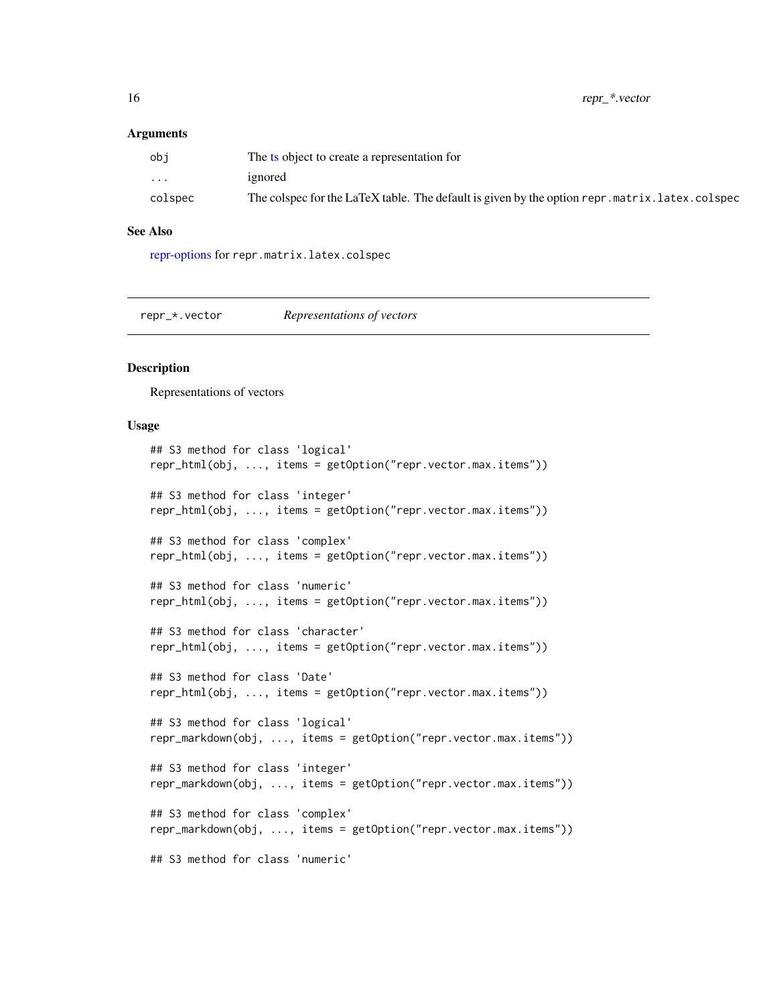<span id="page-15-0"></span>

| obi      | The ts object to create a representation for                                                     |
|----------|--------------------------------------------------------------------------------------------------|
| $\cdots$ | ignored                                                                                          |
| colspec  | The colspec for the LaTeX table. The default is given by the option repr. matrix. latex. colspec |

#### See Also

[repr-options](#page-5-1) for repr.matrix.latex.colspec

repr\_\*.vector *Representations of vectors*

#### **Description**

Representations of vectors

```
## S3 method for class 'logical'
repr_html(obj, ..., items = getOption("repr.vector.max.items"))
## S3 method for class 'integer'
repr_html(obj, ..., items = getOption("repr.vector.max.items"))
## S3 method for class 'complex'
repr_html(obj, ..., items = getOption("repr.vector.max.items"))
## S3 method for class 'numeric'
repr_html(obj, ..., items = getOption("repr.vector.max.items"))
## S3 method for class 'character'
repr_html(obj, ..., items = getOption("repr.vector.max.items"))
## S3 method for class 'Date'
repr_html(obj, ..., items = getOption("repr.vector.max.items"))
## S3 method for class 'logical'
repr_markdown(obj, ..., items = getOption("repr.vector.max.items"))
## S3 method for class 'integer'
repr_markdown(obj, ..., items = getOption("repr.vector.max.items"))
## S3 method for class 'complex'
repr_markdown(obj, ..., items = getOption("repr.vector.max.items"))
## S3 method for class 'numeric'
```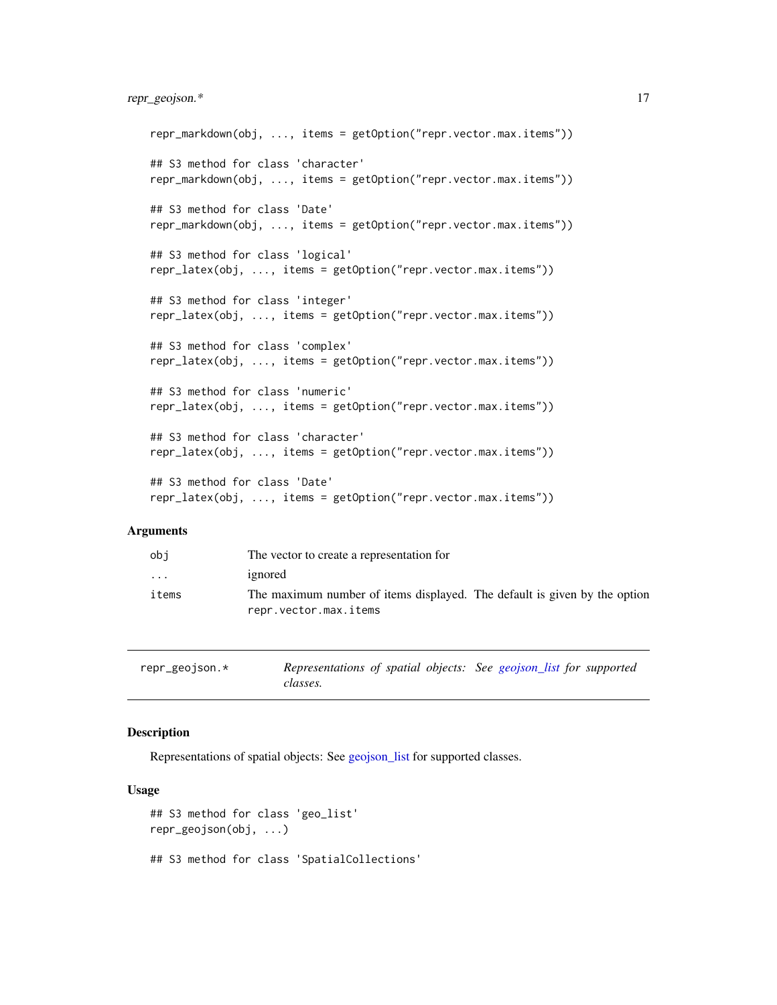# <span id="page-16-0"></span>repr\_geojson.\* 17

```
repr_markdown(obj, ..., items = getOption("repr.vector.max.items"))
## S3 method for class 'character'
repr_markdown(obj, ..., items = getOption("repr.vector.max.items"))
## S3 method for class 'Date'
repr_markdown(obj, ..., items = getOption("repr.vector.max.items"))
## S3 method for class 'logical'
repr_latex(obj, ..., items = getOption("repr.vector.max.items"))
## S3 method for class 'integer'
repr_latex(obj, ..., items = getOption("repr.vector.max.items"))
## S3 method for class 'complex'
repr_latex(obj, ..., items = getOption("repr.vector.max.items"))
## S3 method for class 'numeric'
repr_latex(obj, ..., items = getOption("repr.vector.max.items"))
## S3 method for class 'character'
repr_latex(obj, ..., items = getOption("repr.vector.max.items"))
## S3 method for class 'Date'
repr_latex(obj, ..., items = getOption("repr.vector.max.items"))
```
# Arguments

| obi      | The vector to create a representation for                                                          |
|----------|----------------------------------------------------------------------------------------------------|
| $\cdots$ | ignored                                                                                            |
| items    | The maximum number of items displayed. The default is given by the option<br>repr.vector.max.items |

repr\_geojson.\* *Representations of spatial objects: See [geojson\\_list](#page-0-0) for supported classes.*

# **Description**

Representations of spatial objects: See [geojson\\_list](#page-0-0) for supported classes.

```
## S3 method for class 'geo_list'
repr_geojson(obj, ...)
## S3 method for class 'SpatialCollections'
```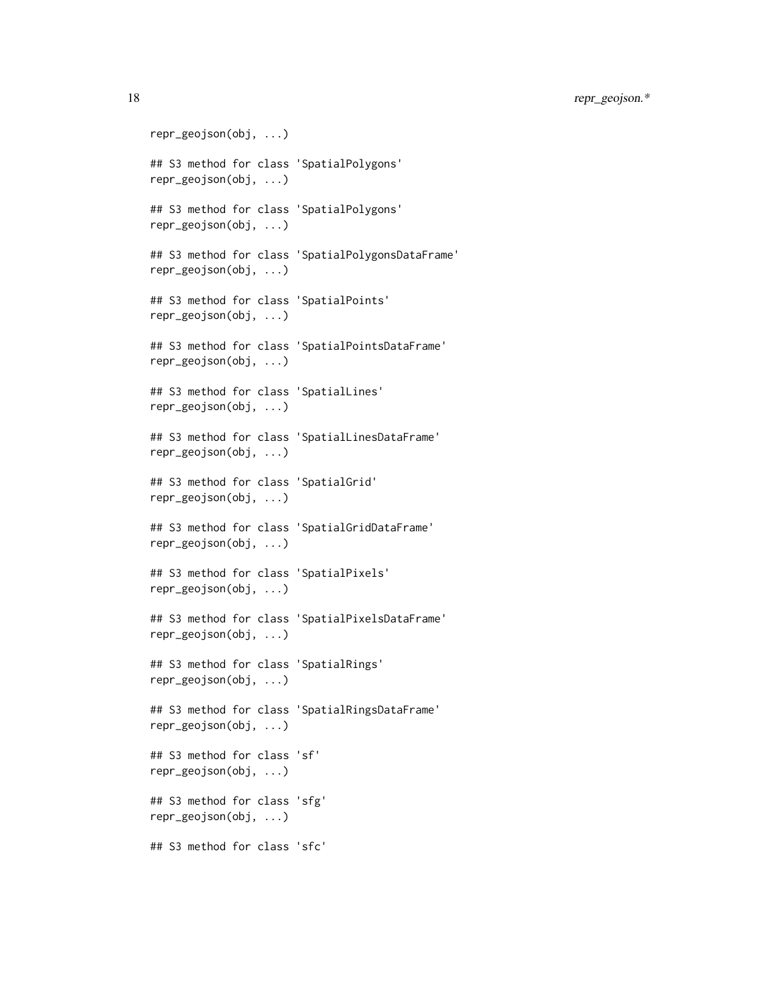18 repr\_geojson.\*

repr\_geojson(obj, ...) ## S3 method for class 'SpatialPolygons' repr\_geojson(obj, ...) ## S3 method for class 'SpatialPolygons' repr\_geojson(obj, ...) ## S3 method for class 'SpatialPolygonsDataFrame' repr\_geojson(obj, ...) ## S3 method for class 'SpatialPoints' repr\_geojson(obj, ...) ## S3 method for class 'SpatialPointsDataFrame' repr\_geojson(obj, ...) ## S3 method for class 'SpatialLines' repr\_geojson(obj, ...) ## S3 method for class 'SpatialLinesDataFrame' repr\_geojson(obj, ...) ## S3 method for class 'SpatialGrid' repr\_geojson(obj, ...) ## S3 method for class 'SpatialGridDataFrame' repr\_geojson(obj, ...) ## S3 method for class 'SpatialPixels' repr\_geojson(obj, ...) ## S3 method for class 'SpatialPixelsDataFrame' repr\_geojson(obj, ...) ## S3 method for class 'SpatialRings' repr\_geojson(obj, ...) ## S3 method for class 'SpatialRingsDataFrame' repr\_geojson(obj, ...) ## S3 method for class 'sf' repr\_geojson(obj, ...) ## S3 method for class 'sfg' repr\_geojson(obj, ...) ## S3 method for class 'sfc'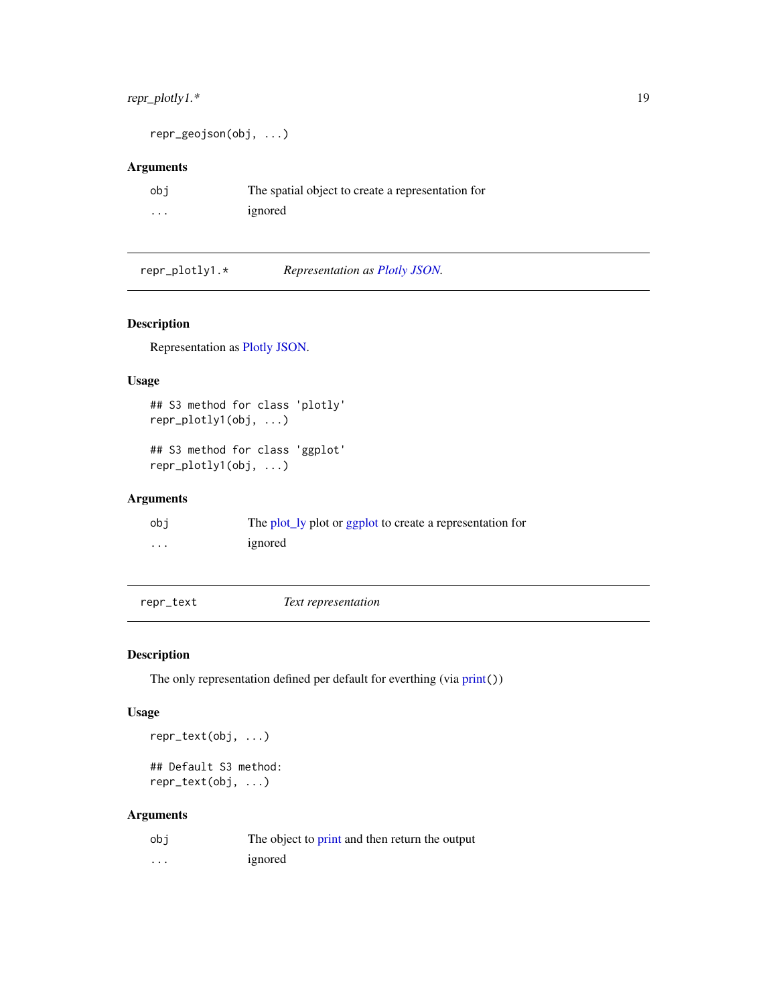# <span id="page-18-0"></span>repr\_plotly1.\* 19

```
repr_geojson(obj, ...)
```
# Arguments

| obi      | The spatial object to create a representation for |
|----------|---------------------------------------------------|
| $\cdots$ | ignored                                           |

repr\_plotly1.\* *Representation as [Plotly JSON.](#page-0-0)*

# Description

Representation as [Plotly JSON.](#page-0-0)

#### Usage

```
## S3 method for class 'plotly'
repr_plotly1(obj, ...)
```
## S3 method for class 'ggplot' repr\_plotly1(obj, ...)

# Arguments

| obi     | The plot_ly plot or ggplot to create a representation for |
|---------|-----------------------------------------------------------|
| $\cdot$ | ignored                                                   |

<span id="page-18-1"></span>repr\_text *Text representation*

# Description

The only representation defined per default for everthing (via [print](#page-0-0)())

#### Usage

repr\_text(obj, ...) ## Default S3 method:

repr\_text(obj, ...)

# Arguments

| obi      | The object to print and then return the output |
|----------|------------------------------------------------|
| $\cdots$ | ignored                                        |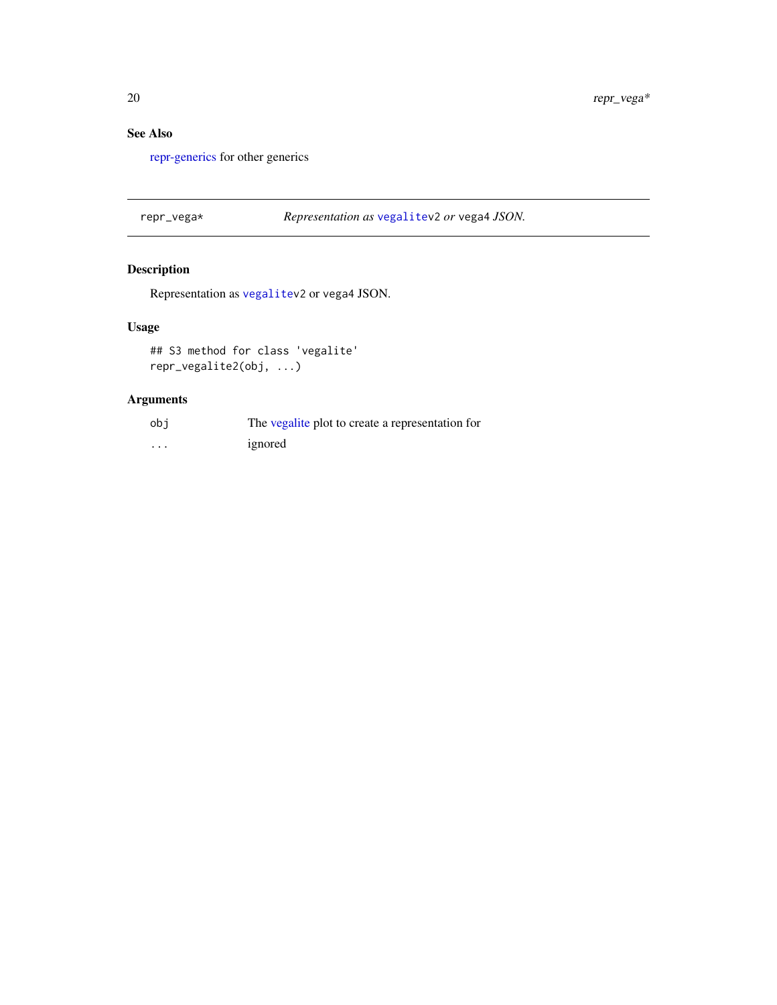# <span id="page-19-0"></span>See Also

[repr-generics](#page-3-1) for other generics

repr\_vega\* *Representation as* [vegalitev](#page-0-0)2 *or* vega4 *JSON.*

# Description

Representation as [vegalitev](#page-0-0)2 or vega4 JSON.

# Usage

## S3 method for class 'vegalite' repr\_vegalite2(obj, ...)

# Arguments

| obi      | The vegalite plot to create a representation for |
|----------|--------------------------------------------------|
| $\cdots$ | ignored                                          |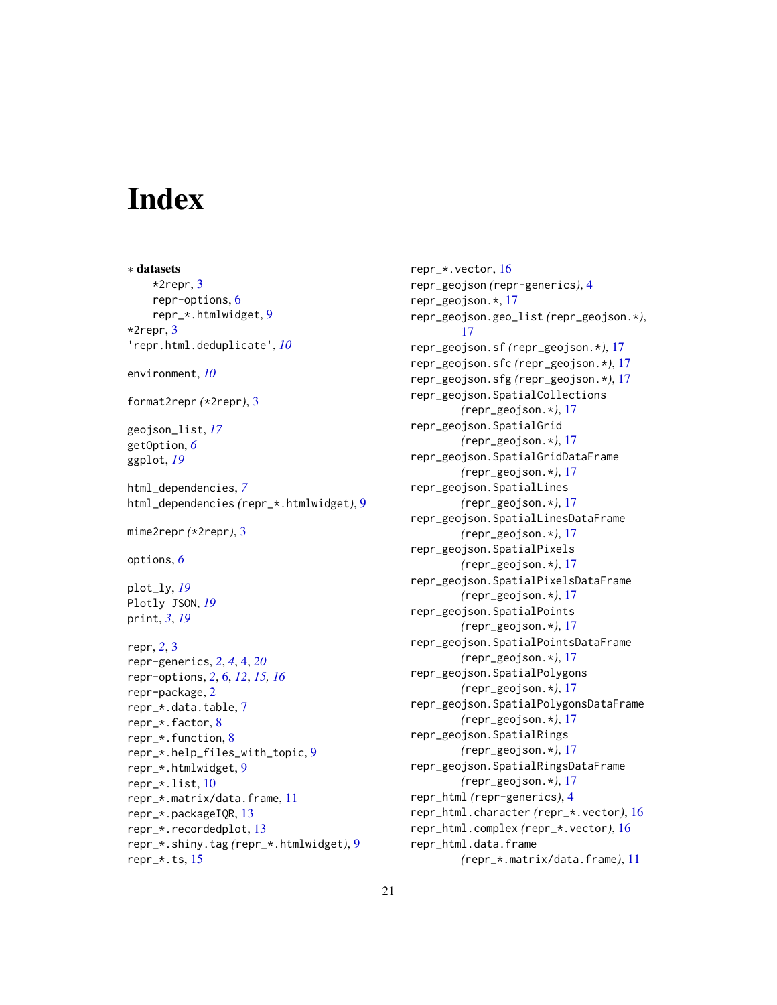# <span id="page-20-0"></span>**Index**

∗ datasets \*2repr, [3](#page-2-0) repr-options, [6](#page-5-0) repr\_\*.htmlwidget, [9](#page-8-0) \*2repr, [3](#page-2-0) 'repr.html.deduplicate', *[10](#page-9-0)* environment, *[10](#page-9-0)* format2repr *(*\*2repr*)*, [3](#page-2-0) geojson\_list, *[17](#page-16-0)* getOption, *[6](#page-5-0)* ggplot, *[19](#page-18-0)* html\_dependencies, *[7](#page-6-0)* html\_dependencies *(*repr\_\*.htmlwidget*)*, [9](#page-8-0) mime2repr *(*\*2repr*)*, [3](#page-2-0) options, *[6](#page-5-0)* plot\_ly, *[19](#page-18-0)* Plotly JSON, *[19](#page-18-0)* print, *[3](#page-2-0)*, *[19](#page-18-0)* repr, *[2](#page-1-0)*, [3](#page-2-0) repr-generics, *[2](#page-1-0)*, *[4](#page-3-0)*, [4,](#page-3-0) *[20](#page-19-0)* repr-options, *[2](#page-1-0)*, [6,](#page-5-0) *[12](#page-11-0)*, *[15,](#page-14-0) [16](#page-15-0)* repr-package, [2](#page-1-0) repr\_\*.data.table, [7](#page-6-0) repr\_\*.factor, [8](#page-7-0) repr\_\*.function, [8](#page-7-0) repr\_\*.help\_files\_with\_topic, [9](#page-8-0) repr\_\*.htmlwidget, [9](#page-8-0) repr\_\*.list, [10](#page-9-0) repr\_\*.matrix/data.frame, [11](#page-10-0) repr\_\*.packageIQR, [13](#page-12-0) repr\_\*.recordedplot, [13](#page-12-0) repr\_\*.shiny.tag *(*repr\_\*.htmlwidget*)*, [9](#page-8-0) repr\_\*.ts, [15](#page-14-0)

repr\_\*.vector, [16](#page-15-0) repr\_geojson *(*repr-generics*)*, [4](#page-3-0) repr\_geojson.\*, [17](#page-16-0) repr\_geojson.geo\_list *(*repr\_geojson.\**)*, [17](#page-16-0) repr\_geojson.sf *(*repr\_geojson.\**)*, [17](#page-16-0) repr\_geojson.sfc *(*repr\_geojson.\**)*, [17](#page-16-0) repr\_geojson.sfg *(*repr\_geojson.\**)*, [17](#page-16-0) repr\_geojson.SpatialCollections *(*repr\_geojson.\**)*, [17](#page-16-0) repr\_geojson.SpatialGrid *(*repr\_geojson.\**)*, [17](#page-16-0) repr\_geojson.SpatialGridDataFrame *(*repr\_geojson.\**)*, [17](#page-16-0) repr\_geojson.SpatialLines *(*repr\_geojson.\**)*, [17](#page-16-0) repr\_geojson.SpatialLinesDataFrame *(*repr\_geojson.\**)*, [17](#page-16-0) repr\_geojson.SpatialPixels *(*repr\_geojson.\**)*, [17](#page-16-0) repr\_geojson.SpatialPixelsDataFrame *(*repr\_geojson.\**)*, [17](#page-16-0) repr\_geojson.SpatialPoints *(*repr\_geojson.\**)*, [17](#page-16-0) repr\_geojson.SpatialPointsDataFrame *(*repr\_geojson.\**)*, [17](#page-16-0) repr\_geojson.SpatialPolygons *(*repr\_geojson.\**)*, [17](#page-16-0) repr\_geojson.SpatialPolygonsDataFrame *(*repr\_geojson.\**)*, [17](#page-16-0) repr\_geojson.SpatialRings *(*repr\_geojson.\**)*, [17](#page-16-0) repr\_geojson.SpatialRingsDataFrame *(*repr\_geojson.\**)*, [17](#page-16-0) repr\_html *(*repr-generics*)*, [4](#page-3-0) repr\_html.character *(*repr\_\*.vector*)*, [16](#page-15-0) repr\_html.complex *(*repr\_\*.vector*)*, [16](#page-15-0) repr\_html.data.frame *(*repr\_\*.matrix/data.frame*)*, [11](#page-10-0)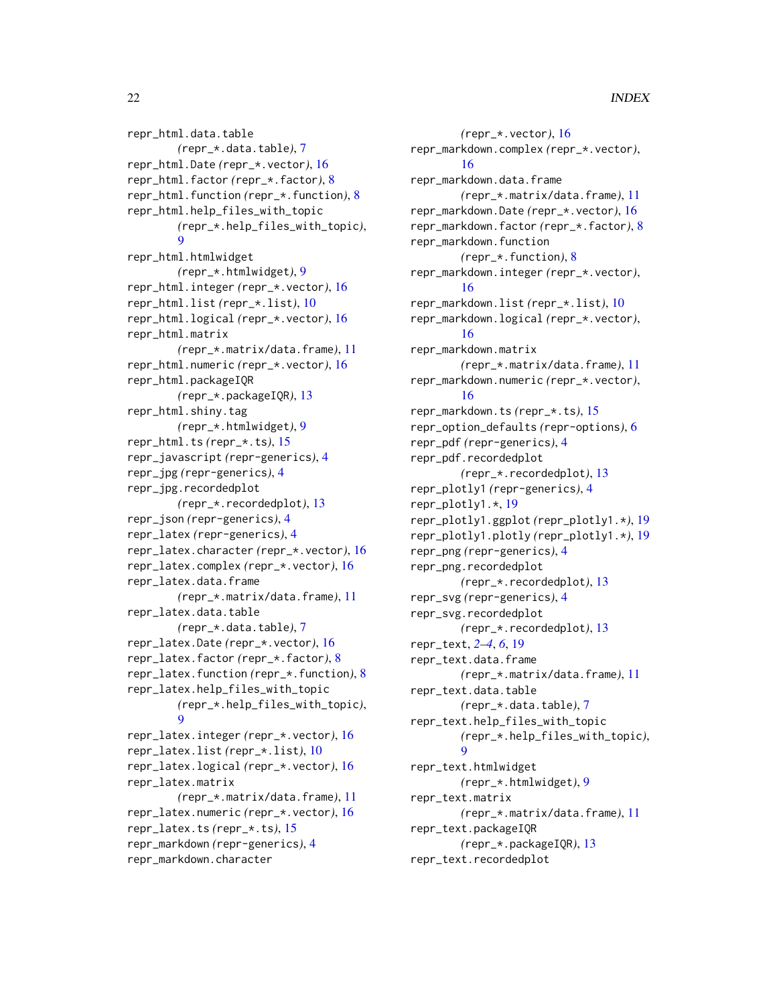repr\_html.data.table *(*repr\_\*.data.table*)*, [7](#page-6-0) repr\_html.Date *(*repr\_\*.vector*)*, [16](#page-15-0) repr\_html.factor *(*repr\_\*.factor*)*, [8](#page-7-0) repr\_html.function *(*repr\_\*.function*)*, [8](#page-7-0) repr\_html.help\_files\_with\_topic *(*repr\_\*.help\_files\_with\_topic*)*, [9](#page-8-0) repr\_html.htmlwidget *(*repr\_\*.htmlwidget*)*, [9](#page-8-0) repr\_html.integer *(*repr\_\*.vector*)*, [16](#page-15-0) repr\_html.list *(*repr\_\*.list*)*, [10](#page-9-0) repr\_html.logical *(*repr\_\*.vector*)*, [16](#page-15-0) repr\_html.matrix *(*repr\_\*.matrix/data.frame*)*, [11](#page-10-0) repr\_html.numeric *(*repr\_\*.vector*)*, [16](#page-15-0) repr\_html.packageIQR *(*repr\_\*.packageIQR*)*, [13](#page-12-0) repr\_html.shiny.tag *(*repr\_\*.htmlwidget*)*, [9](#page-8-0) repr\_html.ts *(*repr\_\*.ts*)*, [15](#page-14-0) repr\_javascript *(*repr-generics*)*, [4](#page-3-0) repr\_jpg *(*repr-generics*)*, [4](#page-3-0) repr\_jpg.recordedplot *(*repr\_\*.recordedplot*)*, [13](#page-12-0) repr\_json *(*repr-generics*)*, [4](#page-3-0) repr\_latex *(*repr-generics*)*, [4](#page-3-0) repr\_latex.character *(*repr\_\*.vector*)*, [16](#page-15-0) repr\_latex.complex *(*repr\_\*.vector*)*, [16](#page-15-0) repr\_latex.data.frame *(*repr\_\*.matrix/data.frame*)*, [11](#page-10-0) repr\_latex.data.table *(*repr\_\*.data.table*)*, [7](#page-6-0) repr\_latex.Date *(*repr\_\*.vector*)*, [16](#page-15-0) repr\_latex.factor *(*repr\_\*.factor*)*, [8](#page-7-0) repr\_latex.function *(*repr\_\*.function*)*, [8](#page-7-0) repr\_latex.help\_files\_with\_topic *(*repr\_\*.help\_files\_with\_topic*)*, [9](#page-8-0) repr\_latex.integer *(*repr\_\*.vector*)*, [16](#page-15-0) repr\_latex.list *(*repr\_\*.list*)*, [10](#page-9-0) repr\_latex.logical *(*repr\_\*.vector*)*, [16](#page-15-0) repr\_latex.matrix *(*repr\_\*.matrix/data.frame*)*, [11](#page-10-0) repr\_latex.numeric *(*repr\_\*.vector*)*, [16](#page-15-0) repr\_latex.ts *(*repr\_\*.ts*)*, [15](#page-14-0) repr\_markdown *(*repr-generics*)*, [4](#page-3-0) repr\_markdown.character

*(*repr\_\*.vector*)*, [16](#page-15-0) repr\_markdown.complex *(*repr\_\*.vector*)*, [16](#page-15-0) repr\_markdown.data.frame *(*repr\_\*.matrix/data.frame*)*, [11](#page-10-0) repr\_markdown.Date *(*repr\_\*.vector*)*, [16](#page-15-0) repr\_markdown.factor *(*repr\_\*.factor*)*, [8](#page-7-0) repr\_markdown.function *(*repr\_\*.function*)*, [8](#page-7-0) repr\_markdown.integer *(*repr\_\*.vector*)*, [16](#page-15-0) repr\_markdown.list *(*repr\_\*.list*)*, [10](#page-9-0) repr\_markdown.logical *(*repr\_\*.vector*)*, [16](#page-15-0) repr\_markdown.matrix *(*repr\_\*.matrix/data.frame*)*, [11](#page-10-0) repr\_markdown.numeric *(*repr\_\*.vector*)*, [16](#page-15-0) repr\_markdown.ts *(*repr\_\*.ts*)*, [15](#page-14-0) repr\_option\_defaults *(*repr-options*)*, [6](#page-5-0) repr\_pdf *(*repr-generics*)*, [4](#page-3-0) repr\_pdf.recordedplot *(*repr\_\*.recordedplot*)*, [13](#page-12-0) repr\_plotly1 *(*repr-generics*)*, [4](#page-3-0) repr\_plotly1.\*, [19](#page-18-0) repr\_plotly1.ggplot *(*repr\_plotly1.\**)*, [19](#page-18-0) repr\_plotly1.plotly *(*repr\_plotly1.\**)*, [19](#page-18-0) repr\_png *(*repr-generics*)*, [4](#page-3-0) repr\_png.recordedplot *(*repr\_\*.recordedplot*)*, [13](#page-12-0) repr\_svg *(*repr-generics*)*, [4](#page-3-0) repr\_svg.recordedplot *(*repr\_\*.recordedplot*)*, [13](#page-12-0) repr\_text, *[2](#page-1-0)[–4](#page-3-0)*, *[6](#page-5-0)*, [19](#page-18-0) repr\_text.data.frame *(*repr\_\*.matrix/data.frame*)*, [11](#page-10-0) repr\_text.data.table *(*repr\_\*.data.table*)*, [7](#page-6-0) repr\_text.help\_files\_with\_topic *(*repr\_\*.help\_files\_with\_topic*)*, [9](#page-8-0) repr\_text.htmlwidget *(*repr\_\*.htmlwidget*)*, [9](#page-8-0) repr\_text.matrix *(*repr\_\*.matrix/data.frame*)*, [11](#page-10-0) repr\_text.packageIQR *(*repr\_\*.packageIQR*)*, [13](#page-12-0) repr\_text.recordedplot